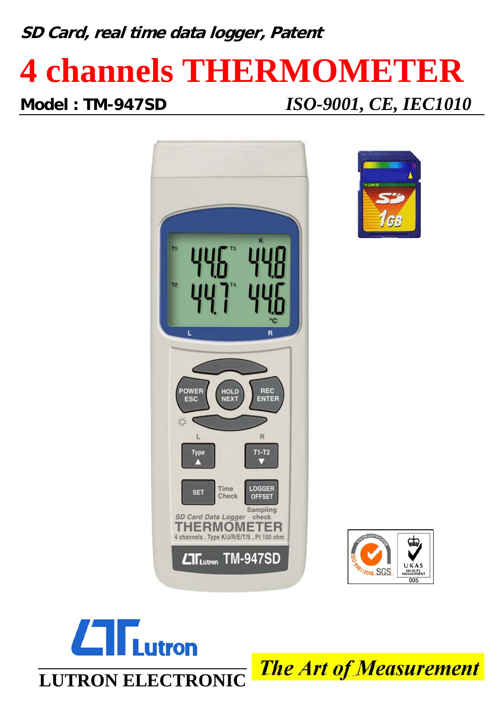**SD Card, real time data logger, Patent**

# **4 channels THERMOMETER**

**Model : TM-947SD** *ISO-9001, CE, IEC1010*









**The Art of Measurement**